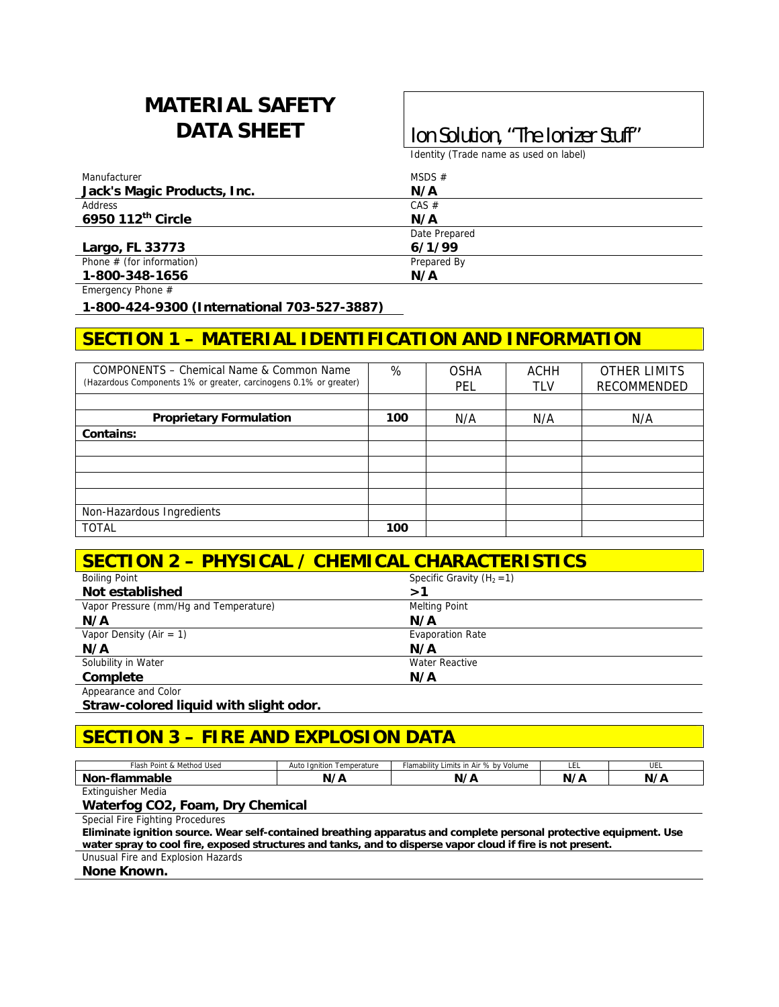# **MATERIAL SAFETY**

## DATA SHEET | Ion Solution, "The Ionizer Stuff"

Identity (Trade name as used on label)

| Manufacturer                | MSDS $#$      |  |
|-----------------------------|---------------|--|
| Jack's Magic Products, Inc. | N/A           |  |
| Address                     | CAS #         |  |
| 6950 112th Circle           | N/A           |  |
|                             | Date Prepared |  |
| Largo, FL 33773             | 6/1/99        |  |
| Phone $#$ (for information) | Prepared By   |  |
| 1-800-348-1656              | N/A           |  |

Emergency Phone #

**1-800-424-9300 (International 703-527-3887)** 

## **SECTION 1 – MATERIAL IDENTIFICATION AND INFORMATION**

| COMPONENTS - Chemical Name & Common Name                          | %   | <b>OSHA</b> | <b>ACHH</b> | <b>OTHER LIMITS</b> |
|-------------------------------------------------------------------|-----|-------------|-------------|---------------------|
| (Hazardous Components 1% or greater, carcinogens 0.1% or greater) |     | PEL         | TLV         | RECOMMENDED         |
|                                                                   |     |             |             |                     |
| <b>Proprietary Formulation</b>                                    | 100 | N/A         | N/A         | N/A                 |
| Contains:                                                         |     |             |             |                     |
|                                                                   |     |             |             |                     |
|                                                                   |     |             |             |                     |
|                                                                   |     |             |             |                     |
|                                                                   |     |             |             |                     |
| Non-Hazardous Ingredients                                         |     |             |             |                     |
| <b>TOTAL</b>                                                      | 100 |             |             |                     |

| <b>SECTION 2 - PHYSICAL / CHEMICAL CHARACTERISTICS</b> |                              |  |  |
|--------------------------------------------------------|------------------------------|--|--|
| <b>Boiling Point</b>                                   | Specific Gravity $(H_2 = 1)$ |  |  |
| Not established                                        | >1                           |  |  |
| Vapor Pressure (mm/Hg and Temperature)                 | <b>Melting Point</b>         |  |  |
| N/A                                                    | N/A                          |  |  |
| Vapor Density (Air = 1)                                | <b>Evaporation Rate</b>      |  |  |
| N/A                                                    | N/A                          |  |  |
| Solubility in Water                                    | <b>Water Reactive</b>        |  |  |
| Complete                                               | N/A                          |  |  |
| Appearance and Color                                   |                              |  |  |

**Straw-colored liquid with slight odor.** 

## **SECTION 3 – FIRE AND EXPLOSION DATA**

| & Method Used<br>-<br>Flash<br>8 Point ا | Temperature<br>Auto<br>I anition | Flamability Limits in Air % by Volume | --- | .<br>UEL |
|------------------------------------------|----------------------------------|---------------------------------------|-----|----------|
| Non<br>nmable<br>Tial                    | $\cdot$ / $\sim$<br>Ν,           | N,<br>'N<br><b>n</b>                  | N/  |          |
| inguisher Media<br>∟xtir                 |                                  |                                       |     |          |

#### **Waterfog CO2, Foam, Dry Chemical**

Special Fire Fighting Procedures

**Eliminate ignition source. Wear self-contained breathing apparatus and complete personal protective equipment. Use water spray to cool fire, exposed structures and tanks, and to disperse vapor cloud if fire is not present.** 

Unusual Fire and Explosion Hazards

**None Known.**